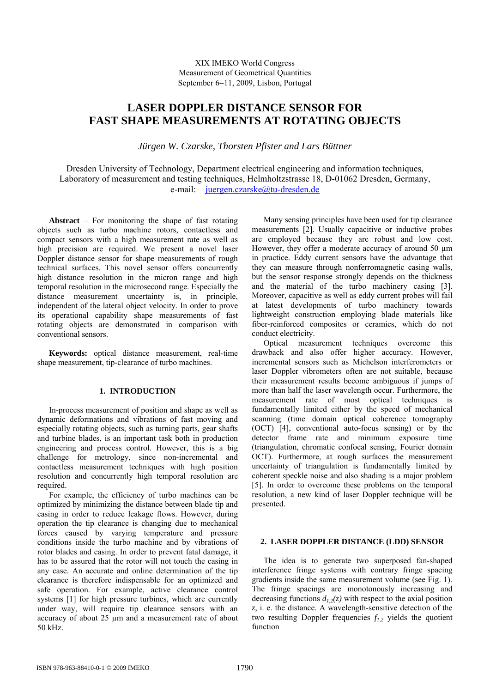## XIX IMEKO World Congress Measurement of Geometrical Quantities September 6−11, 2009, Lisbon, Portugal

# **LASER DOPPLER DISTANCE SENSOR FOR FAST SHAPE MEASUREMENTS AT ROTATING OBJECTS**

*Jürgen W. Czarske, Thorsten Pfister and Lars Büttner* 

Dresden University of Technology, Department electrical engineering and information techniques, Laboratory of measurement and testing techniques, Helmholtzstrasse 18, D-01062 Dresden, Germany, e-mail: [juergen.czarske@tu-dresden.de](mailto:juergen.czarske@tu-dresden.de)

**Abstract** − For monitoring the shape of fast rotating objects such as turbo machine rotors, contactless and compact sensors with a high measurement rate as well as high precision are required. We present a novel laser Doppler distance sensor for shape measurements of rough technical surfaces. This novel sensor offers concurrently high distance resolution in the micron range and high temporal resolution in the microsecond range. Especially the distance measurement uncertainty is, in principle, independent of the lateral object velocity. In order to prove its operational capability shape measurements of fast rotating objects are demonstrated in comparison with conventional sensors.

**Keywords:** optical distance measurement, real-time shape measurement, tip-clearance of turbo machines.

## **1. INTRODUCTION**

In-process measurement of position and shape as well as dynamic deformations and vibrations of fast moving and especially rotating objects, such as turning parts, gear shafts and turbine blades, is an important task both in production engineering and process control. However, this is a big challenge for metrology, since non-incremental and contactless measurement techniques with high position resolution and concurrently high temporal resolution are required

For example, the efficiency of turbo machines can be optimized by minimizing the distance between blade tip and casing in order to reduce leakage flows. However, during operation the tip clearance is changing due to mechanical forces caused by varying temperature and pressure conditions inside the turbo machine and by vibrations of rotor blades and casing. In order to prevent fatal damage, it has to be assured that the rotor will not touch the casing in any case. An accurate and online determination of the tip clearance is therefore indispensable for an optimized and safe operation. For example, active clearance control systems [1] for high pressure turbines, which are currently under way, will require tip clearance sensors with an accuracy of about 25 µm and a measurement rate of about 50 kHz.

Many sensing principles have been used for tip clearance measurements [2]. Usually capacitive or inductive probes are employed because they are robust and low cost. However, they offer a moderate accuracy of around 50  $\mu$ m in practice. Eddy current sensors have the advantage that they can measure through nonferromagnetic casing walls, but the sensor response strongly depends on the thickness and the material of the turbo machinery casing [3]. Moreover, capacitive as well as eddy current probes will fail at latest developments of turbo machinery towards lightweight construction employing blade materials like fiber-reinforced composites or ceramics, which do not conduct electricity.

Optical measurement techniques overcome this drawback and also offer higher accuracy. However, incremental sensors such as Michelson interferometers or laser Doppler vibrometers often are not suitable, because their measurement results become ambiguous if jumps of more than half the laser wavelength occur. Furthermore, the measurement rate of most optical techniques is fundamentally limited either by the speed of mechanical scanning (time domain optical coherence tomography (OCT) [4], conventional auto-focus sensing) or by the detector frame rate and minimum exposure time (triangulation, chromatic confocal sensing, Fourier domain OCT). Furthermore, at rough surfaces the measurement uncertainty of triangulation is fundamentally limited by coherent speckle noise and also shading is a major problem [5]. In order to overcome these problems on the temporal resolution, a new kind of laser Doppler technique will be presented.

### **2. LASER DOPPLER DISTANCE (LDD) SENSOR**

The idea is to generate two superposed fan-shaped interference fringe systems with contrary fringe spacing gradients inside the same measurement volume (see Fig. 1). The fringe spacings are monotonously increasing and decreasing functions  $d_{1,2}(z)$  with respect to the axial position *z*, i. e. the distance. A wavelength-sensitive detection of the two resulting Doppler frequencies  $f_{1,2}$  yields the quotient function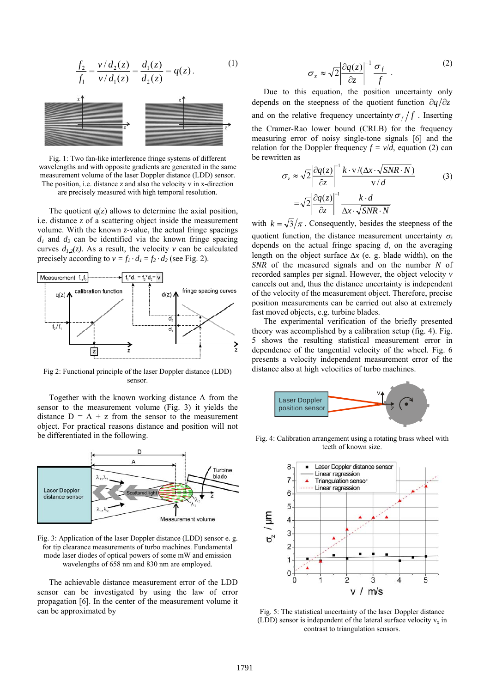$$
\frac{f_2}{f_1} = \frac{v/d_2(z)}{v/d_1(z)} = \frac{d_1(z)}{d_2(z)} = q(z).
$$
\n(1)

Fig. 1: Two fan-like interference fringe systems of different wavelengths and with opposite gradients are generated in the same measurement volume of the laser Doppler distance (LDD) sensor. The position, i.e. distance z and also the velocity v in x-direction are precisely measured with high temporal resolution.

The quotient  $q(z)$  allows to determine the axial position, i.e. distance *z* of a scattering object inside the measurement volume. With the known *z*-value, the actual fringe spacings  $d_1$  and  $d_2$  can be identified via the known fringe spacing curves  $d_{1,2}(z)$ . As a result, the velocity *v* can be calculated precisely according to  $v = f_1 \cdot d_1 = f_2 \cdot d_2$  (see Fig. 2).



Fig 2: Functional principle of the laser Doppler distance (LDD) sensor.

Together with the known working distance A from the sensor to the measurement volume (Fig. 3) it yields the distance  $D = A + z$  from the sensor to the measurement object. For practical reasons distance and position will not be differentiated in the following.



Fig. 3: Application of the laser Doppler distance (LDD) sensor e. g. for tip clearance measurements of turbo machines. Fundamental mode laser diodes of optical powers of some mW and emission wavelengths of 658 nm and 830 nm are employed.

The achievable distance measurement error of the LDD sensor can be investigated by using the law of error propagation [6]. In the center of the measurement volume it can be approximated by

$$
\sigma_z \approx \sqrt{2} \left| \frac{\partial q(z)}{\partial z} \right|^{-1} \frac{\sigma_f}{f} . \tag{2}
$$

Due to this equation, the position uncertainty only depends on the steepness of the quotient function  $\partial q/\partial z$ and on the relative frequency uncertainty  $\sigma_f/f$  . Inserting the Cramer-Rao lower bound (CRLB) for the frequency measuring error of noisy single-tone signals [6] and the relation for the Doppler frequency  $f = v/d$ , equation (2) can be rewritten as

$$
\sigma_z \approx \sqrt{2} \left| \frac{\partial q(z)}{\partial z} \right|^{-1} \frac{k \cdot v / (\Delta x \cdot \sqrt{SNR \cdot N})}{v / d}
$$
\n
$$
= \sqrt{2} \left| \frac{\partial q(z)}{\partial z} \right|^{-1} \frac{k \cdot d}{\Delta x \cdot \sqrt{SNR \cdot N}}
$$
\n(3)

with  $k = \sqrt{3}/\pi$ . Consequently, besides the steepness of the quotient function, the distance measurement uncertainty  $\sigma$ <sub>z</sub> depends on the actual fringe spacing *d*, on the averaging length on the object surface Δ*x* (e. g. blade width), on the *SNR* of the measured signals and on the number *N* of recorded samples per signal. However, the object velocity *v*  cancels out and, thus the distance uncertainty is independent of the velocity of the measurement object. Therefore, precise position measurements can be carried out also at extremely fast moved objects, e.g. turbine blades.

The experimental verification of the briefly presented theory was accomplished by a calibration setup (fig. 4). Fig. 5 shows the resulting statistical measurement error in dependence of the tangential velocity of the wheel. Fig. 6 presents a velocity independent measurement error of the distance also at high velocities of turbo machines.



Fig. 4: Calibration arrangement using a rotating brass wheel with teeth of known size.



Fig. 5: The statistical uncertainty of the laser Doppler distance (LDD) sensor is independent of the lateral surface velocity  $v_x$  in contrast to triangulation sensors.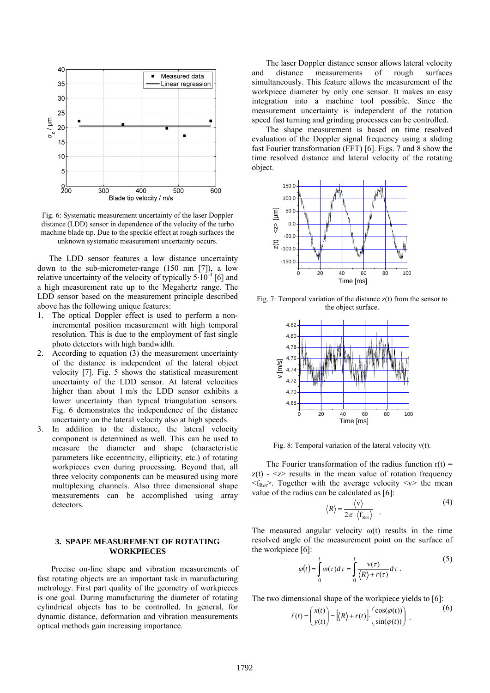

Fig. 6: Systematic measurement uncertainty of the laser Doppler distance (LDD) sensor in dependence of the velocity of the turbo machine blade tip. Due to the speckle effect at rough surfaces the unknown systematic measurement uncertainty occurs.

The LDD sensor features a low distance uncertainty down to the sub-micrometer-range (150 nm [7]), a low relative uncertainty of the velocity of typically  $5 \cdot 10^{-4}$  [6] and a high measurement rate up to the Megahertz range. The LDD sensor based on the measurement principle described above has the following unique features:

- 1. The optical Doppler effect is used to perform a nonincremental position measurement with high temporal resolution. This is due to the employment of fast single photo detectors with high bandwidth.
- 2. According to equation (3) the measurement uncertainty of the distance is independent of the lateral object velocity [7]. Fig. 5 shows the statistical measurement uncertainty of the LDD sensor. At lateral velocities higher than about 1 m/s the LDD sensor exhibits a lower uncertainty than typical triangulation sensors. Fig. 6 demonstrates the independence of the distance uncertainty on the lateral velocity also at high speeds.
- 3. In addition to the distance, the lateral velocity component is determined as well. This can be used to measure the diameter and shape (characteristic parameters like eccentricity, ellipticity, etc.) of rotating workpieces even during processing. Beyond that, all three velocity components can be measured using more multiplexing channels. Also three dimensional shape measurements can be accomplished using array detectors.

#### **3. SPAPE MEASUREMENT OF ROTATING WORKPIECES**

 Precise on-line shape and vibration measurements of fast rotating objects are an important task in manufacturing metrology. First part quality of the geometry of workpieces is one goal. During manufacturing the diameter of rotating cylindrical objects has to be controlled. In general, for dynamic distance, deformation and vibration measurements optical methods gain increasing importance.

 The laser Doppler distance sensor allows lateral velocity and distance measurements of rough surfaces simultaneously. This feature allows the measurement of the workpiece diameter by only one sensor. It makes an easy integration into a machine tool possible. Since the measurement uncertainty is independent of the rotation speed fast turning and grinding processes can be controlled.

 The shape measurement is based on time resolved evaluation of the Doppler signal frequency using a sliding fast Fourier transformation (FFT) [6]. Figs. 7 and 8 show the time resolved distance and lateral velocity of the rotating object.



Fig. 7: Temporal variation of the distance  $z(t)$  from the sensor to the object surface.



Fig. 8: Temporal variation of the lateral velocity  $v(t)$ .

The Fourier transformation of the radius function  $r(t)$  =  $z(t) - \langle z \rangle$  results in the mean value of rotation frequency  $\langle f_{\text{Rot}} \rangle$ . Together with the average velocity  $\langle v \rangle$  the mean value of the radius can be calculated as [6]:

$$
\langle R \rangle = \frac{\langle \mathbf{v} \rangle}{2\pi \cdot \langle \mathbf{f}_{\text{Rot}} \rangle} \quad . \tag{4}
$$

The measured angular velocity  $\omega(t)$  results in the time resolved angle of the measurement point on the surface of the workpiece [6]:

$$
\varphi(t) = \int_{0}^{t} \omega(\tau) d\tau = \int_{0}^{t} \frac{v(\tau)}{\langle R \rangle + r(\tau)} d\tau.
$$
\n(5)

The two dimensional shape of the workpiece yields to [6]:

$$
\vec{r}(t) = \begin{pmatrix} x(t) \\ y(t) \end{pmatrix} = \left[ \langle R \rangle + r(t) \right] \cdot \begin{pmatrix} \cos(\varphi(t)) \\ \sin(\varphi(t)) \end{pmatrix} . \tag{6}
$$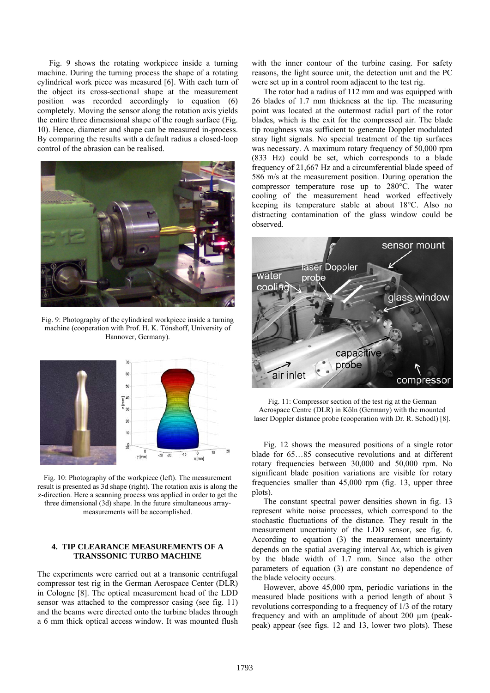Fig. 9 shows the rotating workpiece inside a turning machine. During the turning process the shape of a rotating cylindrical work piece was measured [6]. With each turn of the object its cross-sectional shape at the measurement position was recorded accordingly to equation (6) completely. Moving the sensor along the rotation axis yields the entire three dimensional shape of the rough surface (Fig. 10). Hence, diameter and shape can be measured in-process. By comparing the results with a default radius a closed-loop control of the abrasion can be realised.



Fig. 9: Photography of the cylindrical workpiece inside a turning machine (cooperation with Prof. H. K. Tönshoff, University of Hannover, Germany).



Fig. 10: Photography of the workpiece (left). The measurement result is presented as 3d shape (right). The rotation axis is along the z-direction. Here a scanning process was applied in order to get the three dimensional (3d) shape. In the future simultaneous arraymeasurements will be accomplished.

## **4. TIP CLEARANCE MEASUREMENTS OF A TRANSSONIC TURBO MACHINE**

The experiments were carried out at a transonic centrifugal compressor test rig in the German Aerospace Center (DLR) in Cologne [8]. The optical measurement head of the LDD sensor was attached to the compressor casing (see fig. 11) and the beams were directed onto the turbine blades through a 6 mm thick optical access window. It was mounted flush with the inner contour of the turbine casing. For safety reasons, the light source unit, the detection unit and the PC were set up in a control room adjacent to the test rig.

The rotor had a radius of 112 mm and was equipped with 26 blades of 1.7 mm thickness at the tip. The measuring point was located at the outermost radial part of the rotor blades, which is the exit for the compressed air. The blade tip roughness was sufficient to generate Doppler modulated stray light signals. No special treatment of the tip surfaces was necessary. A maximum rotary frequency of 50,000 rpm (833 Hz) could be set, which corresponds to a blade frequency of 21,667 Hz and a circumferential blade speed of 586 m/s at the measurement position. During operation the compressor temperature rose up to 280°C. The water cooling of the measurement head worked effectively keeping its temperature stable at about 18°C. Also no distracting contamination of the glass window could be observed.



Fig. 11: Compressor section of the test rig at the German Aerospace Centre (DLR) in Köln (Germany) with the mounted laser Doppler distance probe (cooperation with Dr. R. Schodl) [8].

Fig. 12 shows the measured positions of a single rotor blade for 65…85 consecutive revolutions and at different rotary frequencies between 30,000 and 50,000 rpm. No significant blade position variations are visible for rotary frequencies smaller than 45,000 rpm (fig. 13, upper three plots).

The constant spectral power densities shown in fig. 13 represent white noise processes, which correspond to the stochastic fluctuations of the distance. They result in the measurement uncertainty of the LDD sensor, see fig. 6. According to equation (3) the measurement uncertainty depends on the spatial averaging interval Δ*x*, which is given by the blade width of 1.7 mm. Since also the other parameters of equation (3) are constant no dependence of the blade velocity occurs.

However, above 45,000 rpm, periodic variations in the measured blade positions with a period length of about 3 revolutions corresponding to a frequency of 1/3 of the rotary frequency and with an amplitude of about 200 µm (peakpeak) appear (see figs. 12 and 13, lower two plots). These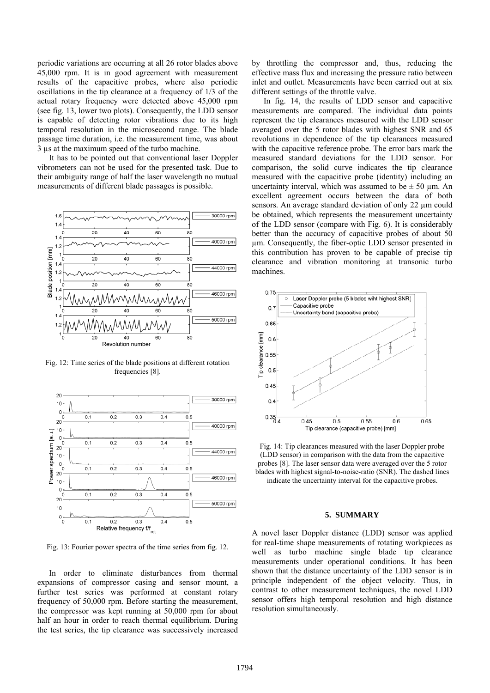periodic variations are occurring at all 26 rotor blades above 45,000 rpm. It is in good agreement with measurement results of the capacitive probes, where also periodic oscillations in the tip clearance at a frequency of 1/3 of the actual rotary frequency were detected above 45,000 rpm (see fig. 13, lower two plots). Consequently, the LDD sensor is capable of detecting rotor vibrations due to its high temporal resolution in the microsecond range. The blade passage time duration, i.e. the measurement time, was about 3 µs at the maximum speed of the turbo machine.

It has to be pointed out that conventional laser Doppler vibrometers can not be used for the presented task. Due to their ambiguity range of half the laser wavelength no mutual measurements of different blade passages is possible.



Fig. 12: Time series of the blade positions at different rotation frequencies [8].



Fig. 13: Fourier power spectra of the time series from fig. 12.

In order to eliminate disturbances from thermal expansions of compressor casing and sensor mount, a further test series was performed at constant rotary frequency of 50,000 rpm. Before starting the measurement, the compressor was kept running at 50,000 rpm for about half an hour in order to reach thermal equilibrium. During the test series, the tip clearance was successively increased by throttling the compressor and, thus, reducing the effective mass flux and increasing the pressure ratio between inlet and outlet. Measurements have been carried out at six different settings of the throttle valve.

In fig. 14, the results of LDD sensor and capacitive measurements are compared. The individual data points represent the tip clearances measured with the LDD sensor averaged over the 5 rotor blades with highest SNR and 65 revolutions in dependence of the tip clearances measured with the capacitive reference probe. The error bars mark the measured standard deviations for the LDD sensor. For comparison, the solid curve indicates the tip clearance measured with the capacitive probe (identity) including an uncertainty interval, which was assumed to be  $\pm$  50 µm. An excellent agreement occurs between the data of both sensors. An average standard deviation of only 22 um could be obtained, which represents the measurement uncertainty of the LDD sensor (compare with Fig. 6). It is considerably better than the accuracy of capacitive probes of about 50 µm. Consequently, the fiber-optic LDD sensor presented in this contribution has proven to be capable of precise tip clearance and vibration monitoring at transonic turbo machines.



Fig. 14: Tip clearances measured with the laser Doppler probe (LDD sensor) in comparison with the data from the capacitive probes [8]. The laser sensor data were averaged over the 5 rotor blades with highest signal-to-noise-ratio (SNR). The dashed lines

indicate the uncertainty interval for the capacitive probes.

### **5. SUMMARY**

A novel laser Doppler distance (LDD) sensor was applied for real-time shape measurements of rotating workpieces as well as turbo machine single blade tip clearance measurements under operational conditions. It has been shown that the distance uncertainty of the LDD sensor is in principle independent of the object velocity. Thus, in contrast to other measurement techniques, the novel LDD sensor offers high temporal resolution and high distance resolution simultaneously.